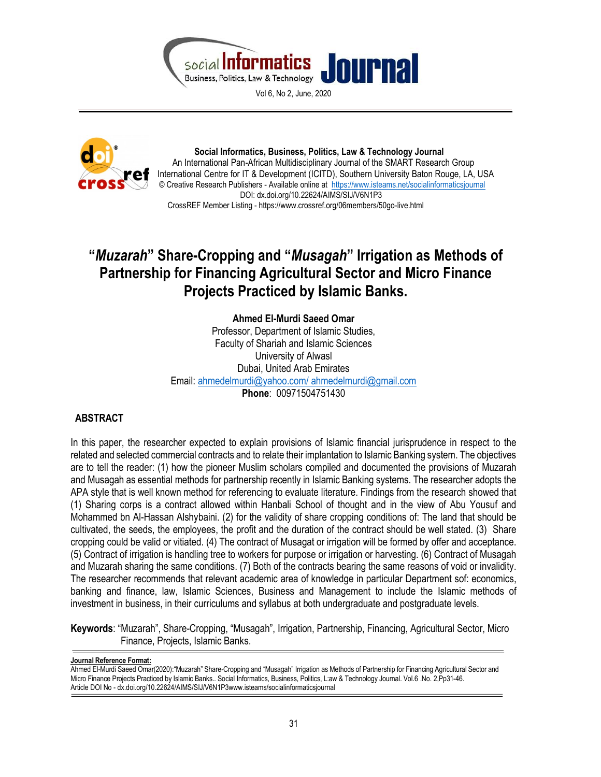

Vol 6, No 2, June, 2020



 Social Informatics, Business, Politics, Law & Technology Journal An International Pan-African Multidisciplinary Journal of the SMART Research Group International Centre for IT & Development (ICITD), Southern University Baton Rouge, LA, USA © Creative Research Publishers - Available online at https://www.isteams.net/socialinformaticsjournal DOI: dx.doi.org/10.22624/AIMS/SIJ/V6N1P3 CrossREF Member Listing - https://www.crossref.org/06members/50go-live.html

# "Muzarah" Share-Cropping and "Musagah" Irrigation as Methods of Partnership for Financing Agricultural Sector and Micro Finance Projects Practiced by Islamic Banks.

Ahmed El-Murdi Saeed Omar Professor, Department of Islamic Studies, Faculty of Shariah and Islamic Sciences University of Alwasl Dubai, United Arab Emirates Email: ahmedelmurdi@yahoo.com/ ahmedelmurdi@gmail.com Phone: 00971504751430

# ABSTRACT

In this paper, the researcher expected to explain provisions of Islamic financial jurisprudence in respect to the related and selected commercial contracts and to relate their implantation to Islamic Banking system. The objectives are to tell the reader: (1) how the pioneer Muslim scholars compiled and documented the provisions of Muzarah and Musagah as essential methods for partnership recently in Islamic Banking systems. The researcher adopts the APA style that is well known method for referencing to evaluate literature. Findings from the research showed that (1) Sharing corps is a contract allowed within Hanbali School of thought and in the view of Abu Yousuf and Mohammed bn Al-Hassan Alshybaini. (2) for the validity of share cropping conditions of: The land that should be cultivated, the seeds, the employees, the profit and the duration of the contract should be well stated. (3) Share cropping could be valid or vitiated. (4) The contract of Musagat or irrigation will be formed by offer and acceptance. (5) Contract of irrigation is handling tree to workers for purpose or irrigation or harvesting. (6) Contract of Musagah and Muzarah sharing the same conditions. (7) Both of the contracts bearing the same reasons of void or invalidity. The researcher recommends that relevant academic area of knowledge in particular Department sof: economics, banking and finance, law, Islamic Sciences, Business and Management to include the Islamic methods of investment in business, in their curriculums and syllabus at both undergraduate and postgraduate levels.

Keywords: "Muzarah", Share-Cropping, "Musagah", Irrigation, Partnership, Financing, Agricultural Sector, Micro Finance, Projects, Islamic Banks.

Ahmed El-Murdi Saeed Omar(2020):"Muzarah" Share-Cropping and "Musagah" Irrigation as Methods of Partnership for Financing Agricultural Sector and Micro Finance Projects Practiced by Islamic Banks.. Social Informatics, Business, Politics, L:aw & Technology Journal. Vol.6 .No. 2,Pp31-46. Article DOI No - dx.doi.org/10.22624/AIMS/SIJ/V6N1P3www.isteams/socialinformaticsjournal

Journal Reference Format: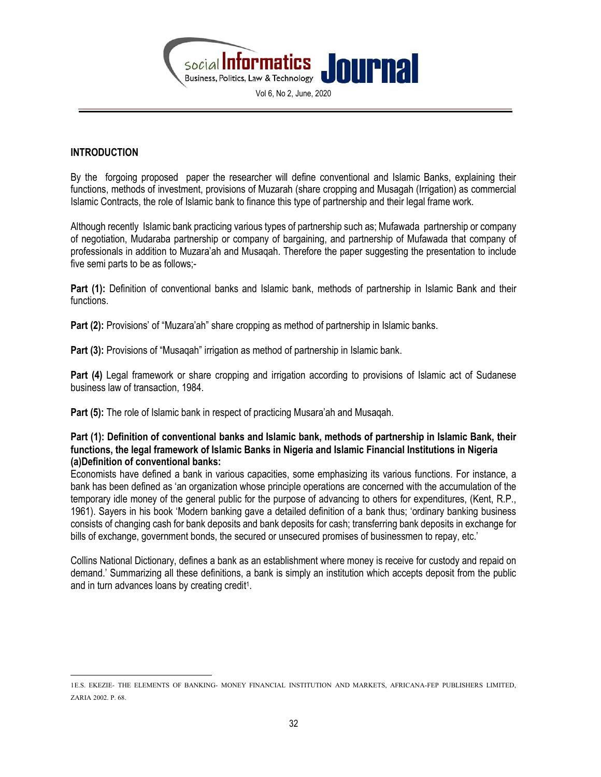

# **INTRODUCTION**

By the forgoing proposed paper the researcher will define conventional and Islamic Banks, explaining their functions, methods of investment, provisions of Muzarah (share cropping and Musagah (Irrigation) as commercial Islamic Contracts, the role of Islamic bank to finance this type of partnership and their legal frame work.

Although recently Islamic bank practicing various types of partnership such as; Mufawada partnership or company of negotiation, Mudaraba partnership or company of bargaining, and partnership of Mufawada that company of professionals in addition to Muzara'ah and Musaqah. Therefore the paper suggesting the presentation to include five semi parts to be as follows;-

Part (1): Definition of conventional banks and Islamic bank, methods of partnership in Islamic Bank and their functions.

Part (2): Provisions' of "Muzara'ah" share cropping as method of partnership in Islamic banks.

Part (3): Provisions of "Musaqah" irrigation as method of partnership in Islamic bank.

Part (4) Legal framework or share cropping and irrigation according to provisions of Islamic act of Sudanese business law of transaction, 1984.

Part (5): The role of Islamic bank in respect of practicing Musara'ah and Musagah.

Part (1): Definition of conventional banks and Islamic bank, methods of partnership in Islamic Bank, their functions, the legal framework of Islamic Banks in Nigeria and Islamic Financial Institutions in Nigeria (a)Definition of conventional banks:

Economists have defined a bank in various capacities, some emphasizing its various functions. For instance, a bank has been defined as 'an organization whose principle operations are concerned with the accumulation of the temporary idle money of the general public for the purpose of advancing to others for expenditures, (Kent, R.P., 1961). Sayers in his book 'Modern banking gave a detailed definition of a bank thus; 'ordinary banking business consists of changing cash for bank deposits and bank deposits for cash; transferring bank deposits in exchange for bills of exchange, government bonds, the secured or unsecured promises of businessmen to repay, etc.'

Collins National Dictionary, defines a bank as an establishment where money is receive for custody and repaid on demand.' Summarizing all these definitions, a bank is simply an institution which accepts deposit from the public and in turn advances loans by creating credit<sup>1</sup>.

 1E.S. EKEZIE- THE ELEMENTS OF BANKING- MONEY FINANCIAL INSTITUTION AND MARKETS, AFRICANA-FEP PUBLISHERS LIMITED, ZARIA 2002. P. 68.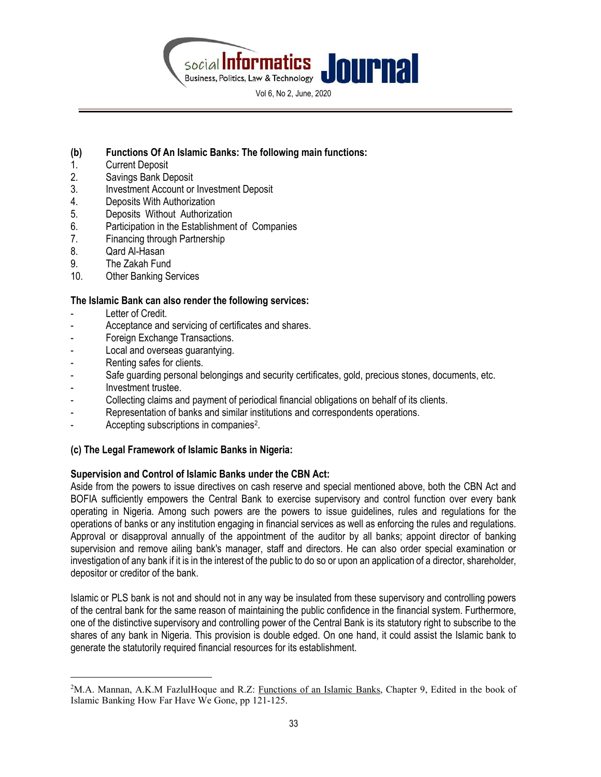

(b) Functions Of An Islamic Banks: The following main functions:

- 1. Current Deposit
- 2. Savings Bank Deposit
- 3. Investment Account or Investment Deposit
- 4. Deposits With Authorization
- 5. Deposits Without Authorization
- 6. Participation in the Establishment of Companies
- 7. Financing through Partnership
- 8. Qard Al-Hasan
- 9. The Zakah Fund
- 10. Other Banking Services

## The Islamic Bank can also render the following services:

- Letter of Credit.
- Acceptance and servicing of certificates and shares.
- Foreign Exchange Transactions.
- Local and overseas guarantying.
- Renting safes for clients.
- Safe guarding personal belongings and security certificates, gold, precious stones, documents, etc.
- Investment trustee.

 $\overline{a}$ 

- Collecting claims and payment of periodical financial obligations on behalf of its clients.
- Representation of banks and similar institutions and correspondents operations.
- Accepting subscriptions in companies<sup>2</sup>.

# (c) The Legal Framework of Islamic Banks in Nigeria:

## Supervision and Control of Islamic Banks under the CBN Act:

Aside from the powers to issue directives on cash reserve and special mentioned above, both the CBN Act and BOFIA sufficiently empowers the Central Bank to exercise supervisory and control function over every bank operating in Nigeria. Among such powers are the powers to issue guidelines, rules and regulations for the operations of banks or any institution engaging in financial services as well as enforcing the rules and regulations. Approval or disapproval annually of the appointment of the auditor by all banks; appoint director of banking supervision and remove ailing bank's manager, staff and directors. He can also order special examination or investigation of any bank if it is in the interest of the public to do so or upon an application of a director, shareholder, depositor or creditor of the bank.

Islamic or PLS bank is not and should not in any way be insulated from these supervisory and controlling powers of the central bank for the same reason of maintaining the public confidence in the financial system. Furthermore, one of the distinctive supervisory and controlling power of the Central Bank is its statutory right to subscribe to the shares of any bank in Nigeria. This provision is double edged. On one hand, it could assist the Islamic bank to generate the statutorily required financial resources for its establishment.

<sup>&</sup>lt;sup>2</sup>M.A. Mannan, A.K.M FazlulHoque and R.Z: Functions of an Islamic Banks, Chapter 9, Edited in the book of Islamic Banking How Far Have We Gone, pp 121-125.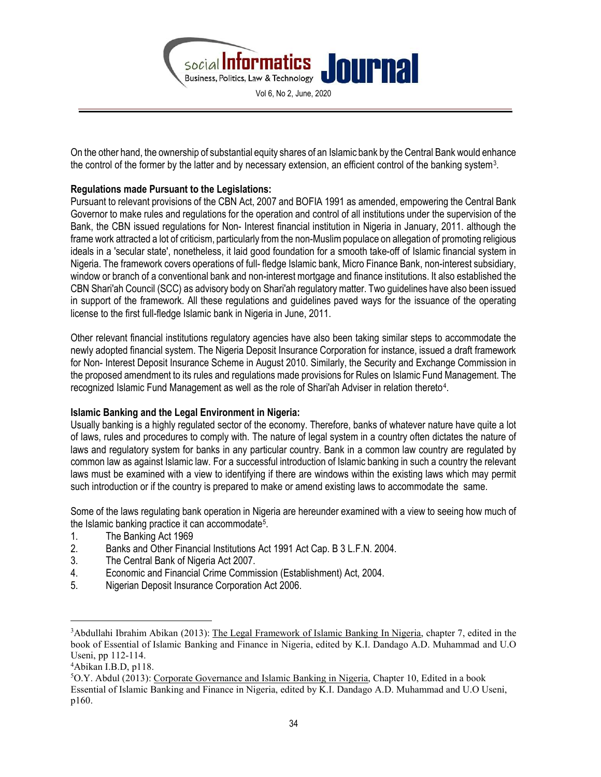

On the other hand, the ownership of substantial equity shares of an Islamic bank by the Central Bank would enhance the control of the former by the latter and by necessary extension, an efficient control of the banking system<sup>3</sup>.

# Regulations made Pursuant to the Legislations:

Pursuant to relevant provisions of the CBN Act, 2007 and BOFIA 1991 as amended, empowering the Central Bank Governor to make rules and regulations for the operation and control of all institutions under the supervision of the Bank, the CBN issued regulations for Non- Interest financial institution in Nigeria in January, 2011. although the frame work attracted a lot of criticism, particularly from the non-Muslim populace on allegation of promoting religious ideals in a 'secular state', nonetheless, it laid good foundation for a smooth take-off of Islamic financial system in Nigeria. The framework covers operations of full- fledge Islamic bank, Micro Finance Bank, non-interest subsidiary, window or branch of a conventional bank and non-interest mortgage and finance institutions. It also established the CBN Shari'ah Council (SCC) as advisory body on Shari'ah regulatory matter. Two guidelines have also been issued in support of the framework. All these regulations and guidelines paved ways for the issuance of the operating license to the first full-fledge Islamic bank in Nigeria in June, 2011.

Other relevant financial institutions regulatory agencies have also been taking similar steps to accommodate the newly adopted financial system. The Nigeria Deposit Insurance Corporation for instance, issued a draft framework for Non- Interest Deposit Insurance Scheme in August 2010. Similarly, the Security and Exchange Commission in the proposed amendment to its rules and regulations made provisions for Rules on Islamic Fund Management. The recognized Islamic Fund Management as well as the role of Shari'ah Adviser in relation thereto<sup>4</sup>.

## Islamic Banking and the Legal Environment in Nigeria:

Usually banking is a highly regulated sector of the economy. Therefore, banks of whatever nature have quite a lot of laws, rules and procedures to comply with. The nature of legal system in a country often dictates the nature of laws and regulatory system for banks in any particular country. Bank in a common law country are regulated by common law as against Islamic law. For a successful introduction of Islamic banking in such a country the relevant laws must be examined with a view to identifying if there are windows within the existing laws which may permit such introduction or if the country is prepared to make or amend existing laws to accommodate the same.

Some of the laws regulating bank operation in Nigeria are hereunder examined with a view to seeing how much of the Islamic banking practice it can accommodate<sup>5</sup>.

- 1. The Banking Act 1969
- 2. Banks and Other Financial Institutions Act 1991 Act Cap. B 3 L.F.N. 2004.
- 3. The Central Bank of Nigeria Act 2007.
- 4. Economic and Financial Crime Commission (Establishment) Act, 2004.
- 5. Nigerian Deposit Insurance Corporation Act 2006.

<sup>&</sup>lt;sup>3</sup>Abdullahi Ibrahim Abikan (2013): The Legal Framework of Islamic Banking In Nigeria, chapter 7, edited in the book of Essential of Islamic Banking and Finance in Nigeria, edited by K.I. Dandago A.D. Muhammad and U.O Useni, pp 112-114.

<sup>4</sup>Abikan I.B.D, p118.

<sup>5</sup>O.Y. Abdul (2013): Corporate Governance and Islamic Banking in Nigeria, Chapter 10, Edited in a book Essential of Islamic Banking and Finance in Nigeria, edited by K.I. Dandago A.D. Muhammad and U.O Useni, p160.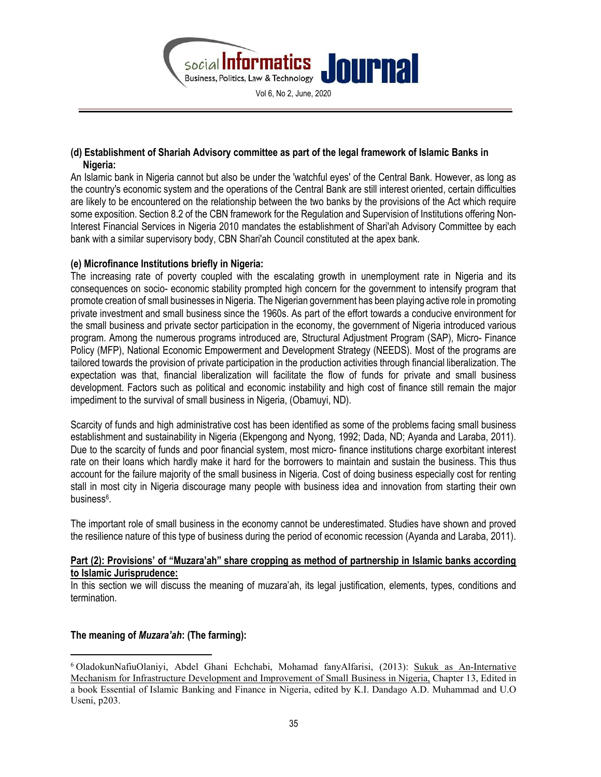

# (d) Establishment of Shariah Advisory committee as part of the legal framework of Islamic Banks in Nigeria:

An Islamic bank in Nigeria cannot but also be under the 'watchful eyes' of the Central Bank. However, as long as the country's economic system and the operations of the Central Bank are still interest oriented, certain difficulties are likely to be encountered on the relationship between the two banks by the provisions of the Act which require some exposition. Section 8.2 of the CBN framework for the Regulation and Supervision of Institutions offering Non-Interest Financial Services in Nigeria 2010 mandates the establishment of Shari'ah Advisory Committee by each bank with a similar supervisory body, CBN Shari'ah Council constituted at the apex bank.

# (e) Microfinance Institutions briefly in Nigeria:

The increasing rate of poverty coupled with the escalating growth in unemployment rate in Nigeria and its consequences on socio- economic stability prompted high concern for the government to intensify program that promote creation of small businesses in Nigeria. The Nigerian government has been playing active role in promoting private investment and small business since the 1960s. As part of the effort towards a conducive environment for the small business and private sector participation in the economy, the government of Nigeria introduced various program. Among the numerous programs introduced are, Structural Adjustment Program (SAP), Micro- Finance Policy (MFP), National Economic Empowerment and Development Strategy (NEEDS). Most of the programs are tailored towards the provision of private participation in the production activities through financial liberalization. The expectation was that, financial liberalization will facilitate the flow of funds for private and small business development. Factors such as political and economic instability and high cost of finance still remain the major impediment to the survival of small business in Nigeria, (Obamuyi, ND).

Scarcity of funds and high administrative cost has been identified as some of the problems facing small business establishment and sustainability in Nigeria (Ekpengong and Nyong, 1992; Dada, ND; Ayanda and Laraba, 2011). Due to the scarcity of funds and poor financial system, most micro- finance institutions charge exorbitant interest rate on their loans which hardly make it hard for the borrowers to maintain and sustain the business. This thus account for the failure majority of the small business in Nigeria. Cost of doing business especially cost for renting stall in most city in Nigeria discourage many people with business idea and innovation from starting their own business<sup>6</sup>.

The important role of small business in the economy cannot be underestimated. Studies have shown and proved the resilience nature of this type of business during the period of economic recession (Ayanda and Laraba, 2011).

## Part (2): Provisions' of "Muzara'ah" share cropping as method of partnership in Islamic banks according to Islamic Jurisprudence:

In this section we will discuss the meaning of muzara'ah, its legal justification, elements, types, conditions and termination.

# The meaning of Muzara'ah: (The farming):

<sup>6</sup> OladokunNafiuOlaniyi, Abdel Ghani Echchabi, Mohamad fanyAlfarisi, (2013): Sukuk as An-Internative Mechanism for Infrastructure Development and Improvement of Small Business in Nigeria, Chapter 13, Edited in a book Essential of Islamic Banking and Finance in Nigeria, edited by K.I. Dandago A.D. Muhammad and U.O Useni, p203.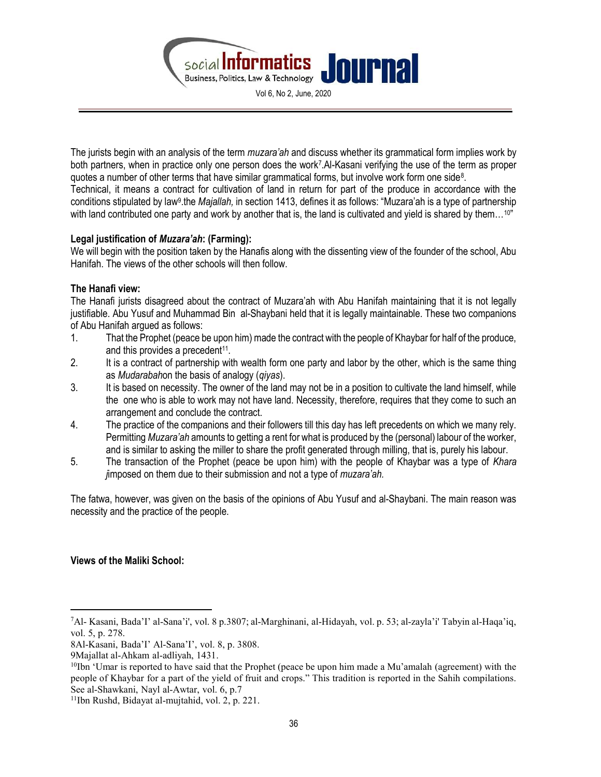

The jurists begin with an analysis of the term *muzara'ah* and discuss whether its grammatical form implies work by both partners, when in practice only one person does the work<sup>7</sup>.Al-Kasani verifying the use of the term as proper quotes a number of other terms that have similar grammatical forms, but involve work form one side<sup>8</sup>.

Technical, it means a contract for cultivation of land in return for part of the produce in accordance with the conditions stipulated by law<sup>9</sup>.the Majallah, in section 1413, defines it as follows: "Muzara'ah is a type of partnership with land contributed one party and work by another that is, the land is cultivated and yield is shared by them...<sup>10"</sup>

# Legal justification of Muzara'ah: (Farming):

We will begin with the position taken by the Hanafis along with the dissenting view of the founder of the school, Abu Hanifah. The views of the other schools will then follow.

# The Hanafi view:

The Hanafi jurists disagreed about the contract of Muzara'ah with Abu Hanifah maintaining that it is not legally justifiable. Abu Yusuf and Muhammad Bin al-Shaybani held that it is legally maintainable. These two companions of Abu Hanifah argued as follows:

- 1. That the Prophet (peace be upon him) made the contract with the people of Khaybar for half of the produce, and this provides a precedent<sup>11</sup>.
- 2. It is a contract of partnership with wealth form one party and labor by the other, which is the same thing as *Mudarabahon* the basis of analogy (*givas*).
- 3. It is based on necessity. The owner of the land may not be in a position to cultivate the land himself, while the one who is able to work may not have land. Necessity, therefore, requires that they come to such an arrangement and conclude the contract.
- 4. The practice of the companions and their followers till this day has left precedents on which we many rely. Permitting Muzara'ah amounts to getting a rent for what is produced by the (personal) labour of the worker, and is similar to asking the miller to share the profit generated through milling, that is, purely his labour.
- 5. The transaction of the Prophet (peace be upon him) with the people of Khaybar was a type of Khara jimposed on them due to their submission and not a type of *muzara'ah*.

The fatwa, however, was given on the basis of the opinions of Abu Yusuf and al-Shaybani. The main reason was necessity and the practice of the people.

## Views of the Maliki School:

 $\overline{a}$ <sup>7</sup>Al- Kasani, Bada'I' al-Sana'i', vol. 8 p.3807; al-Marghinani, al-Hidayah, vol. p. 53; al-zayla'i' Tabyin al-Haqa'iq, vol. 5, p. 278.

<sup>8</sup>Al-Kasani, Bada'I' Al-Sana'I', vol. 8, p. 3808.

<sup>9</sup>Majallat al-Ahkam al-adliyah, 1431.

<sup>&</sup>lt;sup>10</sup>Ibn 'Umar is reported to have said that the Prophet (peace be upon him made a Mu'amalah (agreement) with the people of Khaybar for a part of the yield of fruit and crops." This tradition is reported in the Sahih compilations. See al-Shawkani, Nayl al-Awtar, vol. 6, p.7

<sup>11</sup>Ibn Rushd, Bidayat al-mujtahid, vol. 2, p. 221.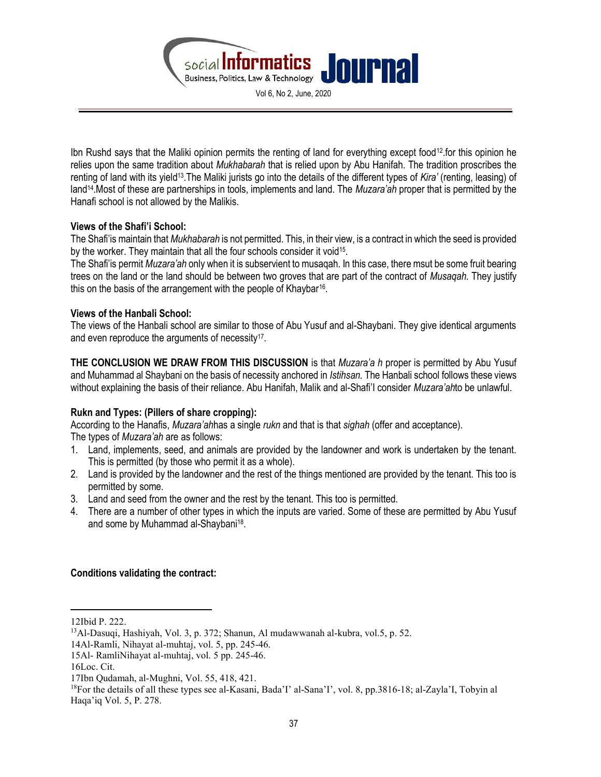

Ibn Rushd says that the Maliki opinion permits the renting of land for everything except food12.for this opinion he relies upon the same tradition about Mukhabarah that is relied upon by Abu Hanifah. The tradition proscribes the renting of land with its yield<sup>13</sup>. The Maliki jurists go into the details of the different types of Kira' (renting, leasing) of land<sup>14</sup>. Most of these are partnerships in tools, implements and land. The *Muzara'ah* proper that is permitted by the Hanafi school is not allowed by the Malikis.

## Views of the Shafi'i School:

The Shafi'is maintain that *Mukhabarah* is not permitted. This, in their view, is a contract in which the seed is provided by the worker. They maintain that all the four schools consider it void<sup>15</sup>.

The Shafi'is permit *Muzara'ah* only when it is subservient to musaqah. In this case, there msut be some fruit bearing trees on the land or the land should be between two groves that are part of the contract of Musagah. They justify this on the basis of the arrangement with the people of Khaybar<sup>16</sup>.

#### Views of the Hanbali School:

The views of the Hanbali school are similar to those of Abu Yusuf and al-Shaybani. They give identical arguments and even reproduce the arguments of necessity<sup>17</sup>.

THE CONCLUSION WE DRAW FROM THIS DISCUSSION is that *Muzara'a h* proper is permitted by Abu Yusuf and Muhammad al Shaybani on the basis of necessity anchored in Istihsan. The Hanbali school follows these views without explaining the basis of their reliance. Abu Hanifah, Malik and al-Shafi'l consider Muzara'ahto be unlawful.

## Rukn and Types: (Pillers of share cropping):

According to the Hanafis, Muzara'ahhas a single rukn and that is that sighah (offer and acceptance). The types of Muzara'ah are as follows:

- 1. Land, implements, seed, and animals are provided by the landowner and work is undertaken by the tenant. This is permitted (by those who permit it as a whole).
- 2. Land is provided by the landowner and the rest of the things mentioned are provided by the tenant. This too is permitted by some.
- 3. Land and seed from the owner and the rest by the tenant. This too is permitted.
- 4. There are a number of other types in which the inputs are varied. Some of these are permitted by Abu Yusuf and some by Muhammad al-Shaybani<sup>18</sup>.

## Conditions validating the contract:

<sup>12</sup>Ibid P. 222.

<sup>13</sup>Al-Dasuqi, Hashiyah, Vol. 3, p. 372; Shanun, Al mudawwanah al-kubra, vol.5, p. 52.

<sup>14</sup>Al-Ramli, Nihayat al-muhtaj, vol. 5, pp. 245-46.

<sup>15</sup>Al- RamliNihayat al-muhtaj, vol. 5 pp. 245-46.

<sup>16</sup>Loc. Cit.

<sup>17</sup>Ibn Qudamah, al-Mughni, Vol. 55, 418, 421.

<sup>&</sup>lt;sup>18</sup>For the details of all these types see al-Kasani, Bada'I' al-Sana'I', vol. 8, pp.3816-18; al-Zayla'I, Tobyin al Haqa'iq Vol. 5, P. 278.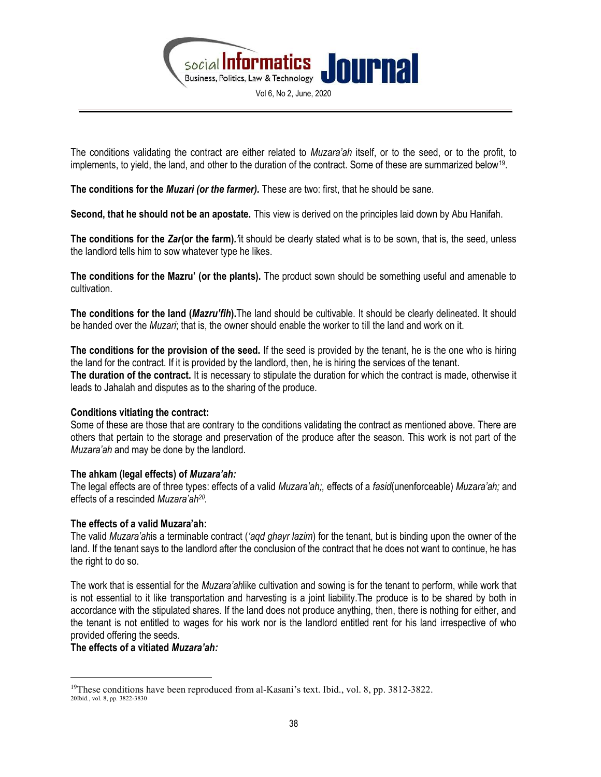

The conditions validating the contract are either related to Muzara'ah itself, or to the seed, or to the profit, to implements, to yield, the land, and other to the duration of the contract. Some of these are summarized below<sup>19</sup>.

The conditions for the Muzari (or the farmer). These are two: first, that he should be sane.

Second, that he should not be an apostate. This view is derived on the principles laid down by Abu Hanifah.

The conditions for the Zar(or the farm). It should be clearly stated what is to be sown, that is, the seed, unless the landlord tells him to sow whatever type he likes.

The conditions for the Mazru' (or the plants). The product sown should be something useful and amenable to cultivation.

The conditions for the land (Mazru'fih). The land should be cultivable. It should be clearly delineated. It should be handed over the Muzari; that is, the owner should enable the worker to till the land and work on it.

The conditions for the provision of the seed. If the seed is provided by the tenant, he is the one who is hiring the land for the contract. If it is provided by the landlord, then, he is hiring the services of the tenant. The duration of the contract. It is necessary to stipulate the duration for which the contract is made, otherwise it leads to Jahalah and disputes as to the sharing of the produce.

#### Conditions vitiating the contract:

Some of these are those that are contrary to the conditions validating the contract as mentioned above. There are others that pertain to the storage and preservation of the produce after the season. This work is not part of the Muzara'ah and may be done by the landlord.

#### The ahkam (legal effects) of Muzara'ah:

The legal effects are of three types: effects of a valid Muzara'ah;, effects of a fasid(unenforceable) Muzara'ah; and effects of a rescinded Muzara'ah<sup>20</sup>.

#### The effects of a valid Muzara'ah:

The valid Muzara'ahis a terminable contract ('aqd ghayr lazim) for the tenant, but is binding upon the owner of the land. If the tenant says to the landlord after the conclusion of the contract that he does not want to continue, he has the right to do so.

The work that is essential for the *Muzara'ahlike* cultivation and sowing is for the tenant to perform, while work that is not essential to it like transportation and harvesting is a joint liability.The produce is to be shared by both in accordance with the stipulated shares. If the land does not produce anything, then, there is nothing for either, and the tenant is not entitled to wages for his work nor is the landlord entitled rent for his land irrespective of who provided offering the seeds.

# The effects of a vitiated Muzara'ah:

<sup>&</sup>lt;sup>19</sup>These conditions have been reproduced from al-Kasani's text. Ibid., vol. 8, pp. 3812-3822. 20Ibid., vol. 8, pp. 3822-3830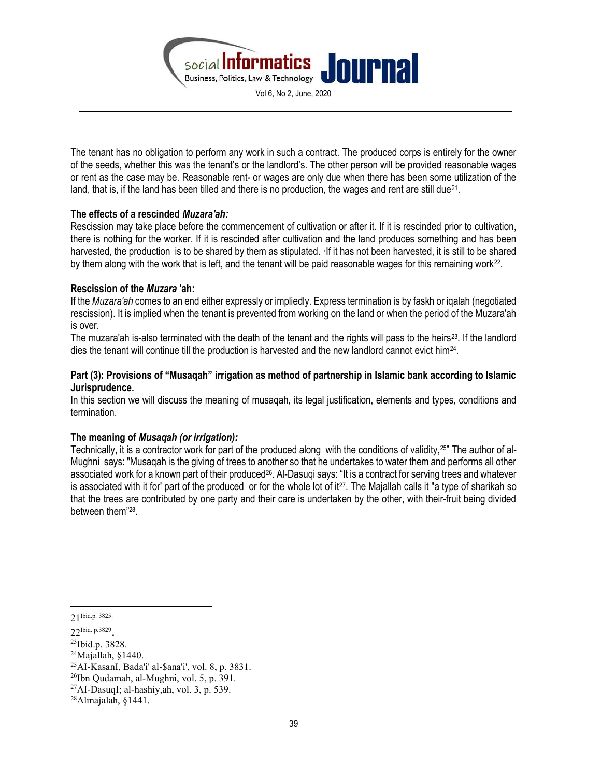

The tenant has no obligation to perform any work in such a contract. The produced corps is entirely for the owner of the seeds, whether this was the tenant's or the landlord's. The other person will be provided reasonable wages or rent as the case may be. Reasonable rent- or wages are only due when there has been some utilization of the land, that is, if the land has been tilled and there is no production, the wages and rent are still due<sup>21</sup>.

## The effects of a rescinded Muzara'ah:

Rescission may take place before the commencement of cultivation or after it. If it is rescinded prior to cultivation, there is nothing for the worker. If it is rescinded after cultivation and the land produces something and has been harvested, the production is to be shared by them as stipulated. ·If it has not been harvested, it is still to be shared by them along with the work that is left, and the tenant will be paid reasonable wages for this remaining work<sup>22</sup>.

#### Rescission of the Muzara 'ah:

If the Muzara'ah comes to an end either expressly or impliedly. Express termination is by faskh or iqalah (negotiated rescission). It is implied when the tenant is prevented from working on the land or when the period of the Muzara'ah is over.

The muzara'ah is-also terminated with the death of the tenant and the rights will pass to the heirs<sup>23</sup>. If the landlord dies the tenant will continue till the production is harvested and the new landlord cannot evict him<sup>24</sup>.

## Part (3): Provisions of "Musaqah" irrigation as method of partnership in Islamic bank according to Islamic Jurisprudence.

In this section we will discuss the meaning of musaqah, its legal justification, elements and types, conditions and termination.

## The meaning of Musaqah (or irrigation):

Technically, it is a contractor work for part of the produced along with the conditions of validity, <sup>25"</sup> The author of al-Mughni says: "Musaqah is the giving of trees to another so that he undertakes to water them and performs all other associated work for a known part of their produced<sup>26</sup>. Al-Dasuqi says: "It is a contract for serving trees and whatever is associated with it for' part of the produced or for the whole lot of it $27$ . The Majallah calls it "a type of sharikah so that the trees are contributed by one party and their care is undertaken by the other, with their-fruit being divided between them"<sup>28</sup> .

 $\overline{a}$ 21Ibid.p. 3825.

<sup>22</sup>Ibid. p.3829.

<sup>23</sup>Ibid.p. 3828.

 $24$ Majallah, §1440.

<sup>25</sup>AI-KasanI, Bada'i' al-\$ana'i', vol. 8, p. 3831.

<sup>26</sup>Ibn Qudamah, al-Mughni, vol. 5, p. 391.

 $^{27}$ AI-DasuqI; al-hashiy,ah, vol. 3, p. 539.

<sup>28</sup>Almajalah, §1441.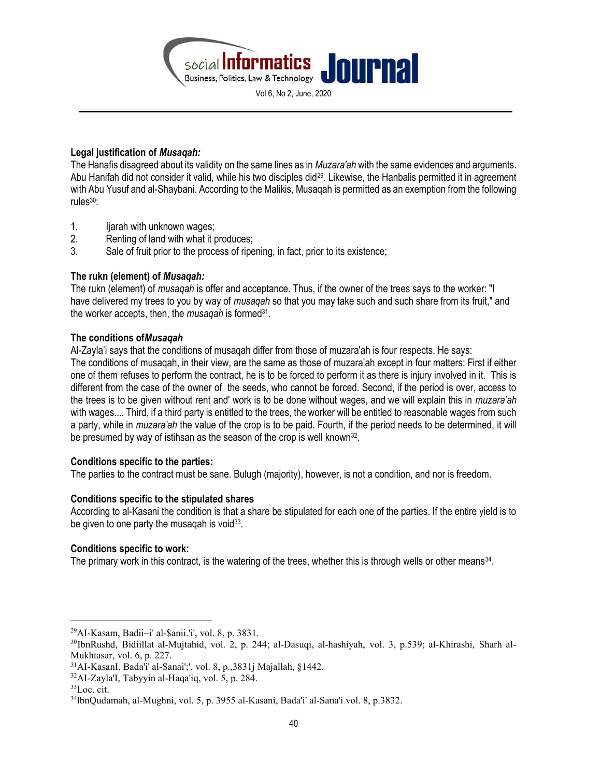

Vol 6, No 2, June, 2020

## Legal justification of Musagah:

The Hanafis disagreed about its validity on the same lines as in Muzara'ah with the same evidences and arguments. Abu Hanifah did not consider it valid, while his two disciples did<sup>29</sup>. Likewise, the Hanbalis permitted it in agreement with Abu Yusuf and al-Shaybani. According to the Malikis, Musaqah is permitted as an exemption from the following  $rules^{30}$ 

- 1. Ijarah with unknown wages;
- 2. Renting of land with what it produces;
- 3. Sale of fruit prior to the process of ripening, in fact, prior to its existence;

# The rukn (element) of Musaqah:

The rukn (element) of musaqah is offer and acceptance. Thus, if the owner of the trees says to the worker: "I have delivered my trees to you by way of musaqah so that you may take such and such share from its fruit," and the worker accepts, then, the musaqah is formed<sup>31</sup>.

# The conditions ofMusaqah

Al-Zayla'i says that the conditions of musaqah differ from those of muzara'ah is four respects. He says:

The conditions of musaqah, in their view, are the same as those of muzara'ah except in four matters: First if either one of them refuses to perform the contract, he is to be forced to perform it as there is injury involved in it. This is different from the case of the owner of the seeds, who cannot be forced. Second, if the period is over, access to the trees is to be given without rent and' work is to be done without wages, and we will explain this in *muzara'ah* with wages.... Third, if a third party is entitled to the trees, the worker will be entitled to reasonable wages from such a party, while in *muzara'ah* the value of the crop is to be paid. Fourth, if the period needs to be determined, it will be presumed by way of istihsan as the season of the crop is well known<sup>32</sup>.

# Conditions specific to the parties:

The parties to the contract must be sane. Bulugh (majority), however, is not a condition, and nor is freedom.

## Conditions specific to the stipulated shares

According to al-Kasani the condition is that a share be stipulated for each one of the parties. If the entire yield is to be given to one party the musaqah is void<sup>33</sup>.

## Conditions specific to work:

The primary work in this contract, is the watering of the trees, whether this is through wells or other means<sup>34</sup>.

 $^{29}$ AI-Kasam, Badii~i' al-\$anii.'i', vol. 8, p. 3831.

<sup>30</sup>IbnRushd, Bidiillat al-Mujtahid, vol. 2, p. 244; al-Dasuqi, al-hashiyah, vol. 3, p.539; al-Khirashi, Sharh al-Mukhtasar, vol. 6, p. 227.

<sup>31</sup>AI-KasanI, Bada'i' al-Sanai';', vol. 8, p.,3831j Majallah, §1442.

 $32$ AI-Zayla'I, Tabyyin al-Haqa'iq, vol. 5, p. 284.

 $33$ Loc. cit.

<sup>34</sup>lbnQudamah, al-Mughni, vol. 5, p. 3955 al-Kasani, Bada'i' al-Sana'i vol. 8, p.3832.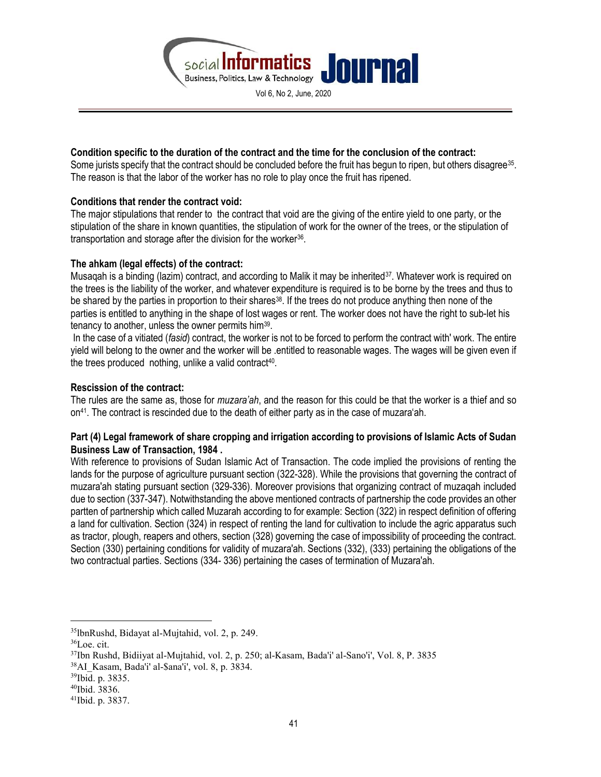

#### Condition specific to the duration of the contract and the time for the conclusion of the contract:

Some jurists specify that the contract should be concluded before the fruit has begun to ripen, but others disagree<sup>35</sup>. The reason is that the labor of the worker has no role to play once the fruit has ripened.

## Conditions that render the contract void:

The major stipulations that render to the contract that void are the giving of the entire yield to one party, or the stipulation of the share in known quantities, the stipulation of work for the owner of the trees, or the stipulation of transportation and storage after the division for the worker<sup>36</sup>.

#### The ahkam (legal effects) of the contract:

Musagah is a binding (lazim) contract, and according to Malik it may be inherited<sup>37</sup>. Whatever work is required on the trees is the liability of the worker, and whatever expenditure is required is to be borne by the trees and thus to be shared by the parties in proportion to their shares<sup>38</sup>. If the trees do not produce anything then none of the parties is entitled to anything in the shape of lost wages or rent. The worker does not have the right to sub-let his tenancy to another, unless the owner permits him<sup>39</sup>.

 In the case of a vitiated (fasid) contract, the worker is not to be forced to perform the contract with' work. The entire yield will belong to the owner and the worker will be .entitled to reasonable wages. The wages will be given even if the trees produced nothing, unlike a valid contract<sup>40</sup>.

#### Rescission of the contract:

The rules are the same as, those for *muzara'ah*, and the reason for this could be that the worker is a thief and so on41. The contract is rescinded due to the death of either party as in the case of muzara'ah.

## Part (4) Legal framework of share cropping and irrigation according to provisions of Islamic Acts of Sudan Business Law of Transaction, 1984 .

With reference to provisions of Sudan Islamic Act of Transaction. The code implied the provisions of renting the lands for the purpose of agriculture pursuant section (322-328). While the provisions that governing the contract of muzara'ah stating pursuant section (329-336). Moreover provisions that organizing contract of muzaqah included due to section (337-347). Notwithstanding the above mentioned contracts of partnership the code provides an other partten of partnership which called Muzarah according to for example: Section (322) in respect definition of offering a land for cultivation. Section (324) in respect of renting the land for cultivation to include the agric apparatus such as tractor, plough, reapers and others, section (328) governing the case of impossibility of proceeding the contract. Section (330) pertaining conditions for validity of muzara'ah. Sections (332), (333) pertaining the obligations of the two contractual parties. Sections (334- 336) pertaining the cases of termination of Muzara'ah.

<sup>35</sup>lbnRushd, Bidayat al-Mujtahid, vol. 2, p. 249.

<sup>36</sup>Loe. cit.

<sup>37</sup>Ibn Rushd, Bidiiyat al-Mujtahid, vol. 2, p. 250; al-Kasam, Bada'i' al-Sano'i', Vol. 8, P. 3835

<sup>38</sup>AI\_Kasam, Bada'i' al-\$ana'i', vol. 8, p. 3834.

<sup>39</sup>Ibid. p. 3835.

<sup>40</sup>Ibid. 3836.

<sup>41</sup>Ibid. p. 3837.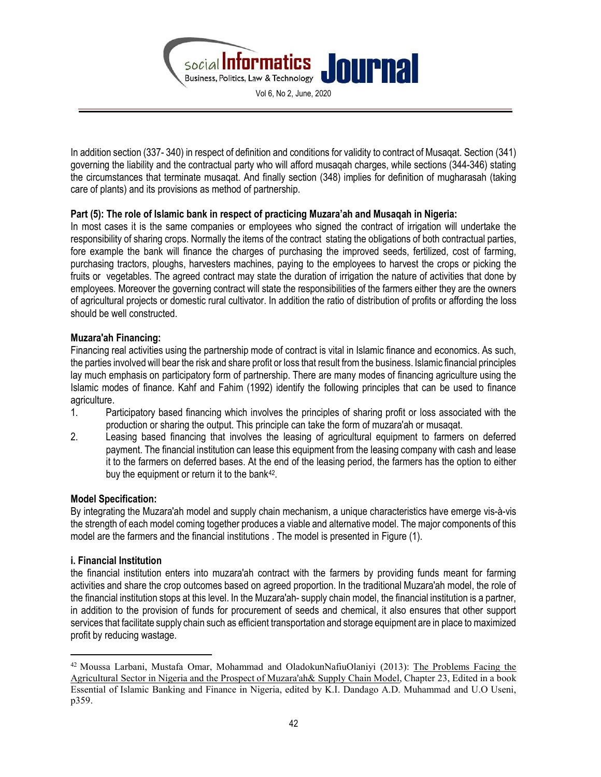

In addition section (337- 340) in respect of definition and conditions for validity to contract of Musaqat. Section (341) governing the liability and the contractual party who will afford musaqah charges, while sections (344-346) stating the circumstances that terminate musaqat. And finally section (348) implies for definition of mugharasah (taking care of plants) and its provisions as method of partnership.

# Part (5): The role of Islamic bank in respect of practicing Muzara'ah and Musaqah in Nigeria:

In most cases it is the same companies or employees who signed the contract of irrigation will undertake the responsibility of sharing crops. Normally the items of the contract stating the obligations of both contractual parties, fore example the bank will finance the charges of purchasing the improved seeds, fertilized, cost of farming, purchasing tractors, ploughs, harvesters machines, paying to the employees to harvest the crops or picking the fruits or vegetables. The agreed contract may state the duration of irrigation the nature of activities that done by employees. Moreover the governing contract will state the responsibilities of the farmers either they are the owners of agricultural projects or domestic rural cultivator. In addition the ratio of distribution of profits or affording the loss should be well constructed.

# Muzara'ah Financing:

Financing real activities using the partnership mode of contract is vital in Islamic finance and economics. As such, the parties involved will bear the risk and share profit or loss that result from the business. Islamic financial principles lay much emphasis on participatory form of partnership. There are many modes of financing agriculture using the Islamic modes of finance. Kahf and Fahim (1992) identify the following principles that can be used to finance agriculture.

- 1. Participatory based financing which involves the principles of sharing profit or loss associated with the production or sharing the output. This principle can take the form of muzara'ah or musaqat.
- 2. Leasing based financing that involves the leasing of agricultural equipment to farmers on deferred payment. The financial institution can lease this equipment from the leasing company with cash and lease it to the farmers on deferred bases. At the end of the leasing period, the farmers has the option to either buy the equipment or return it to the bank<sup>42</sup>.

## Model Specification:

By integrating the Muzara'ah model and supply chain mechanism, a unique characteristics have emerge vis-à-vis the strength of each model coming together produces a viable and alternative model. The major components of this model are the farmers and the financial institutions . The model is presented in Figure (1).

## i. Financial Institution

 $\overline{a}$ 

the financial institution enters into muzara'ah contract with the farmers by providing funds meant for farming activities and share the crop outcomes based on agreed proportion. In the traditional Muzara'ah model, the role of the financial institution stops at this level. In the Muzara'ah- supply chain model, the financial institution is a partner, in addition to the provision of funds for procurement of seeds and chemical, it also ensures that other support services that facilitate supply chain such as efficient transportation and storage equipment are in place to maximized profit by reducing wastage.

<sup>42</sup> Moussa Larbani, Mustafa Omar, Mohammad and OladokunNafiuOlaniyi (2013): The Problems Facing the Agricultural Sector in Nigeria and the Prospect of Muzara'ah& Supply Chain Model, Chapter 23, Edited in a book Essential of Islamic Banking and Finance in Nigeria, edited by K.I. Dandago A.D. Muhammad and U.O Useni, p359.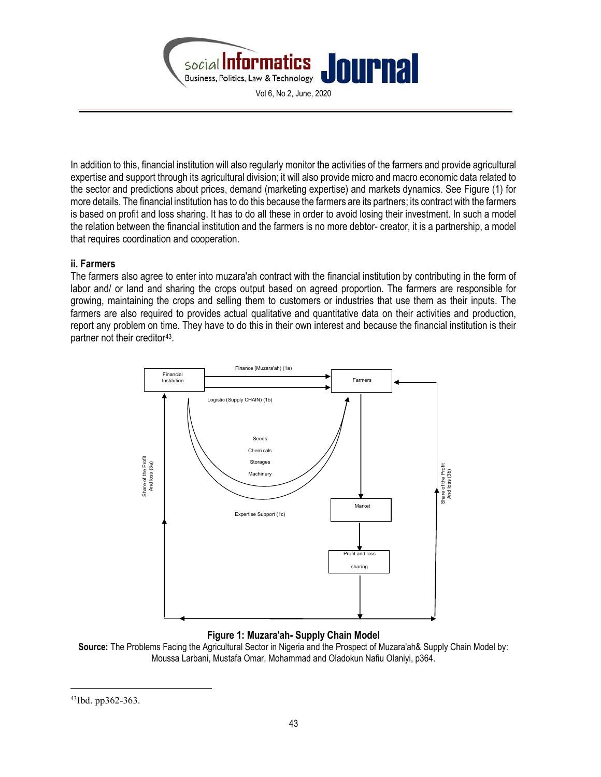

In addition to this, financial institution will also regularly monitor the activities of the farmers and provide agricultural expertise and support through its agricultural division; it will also provide micro and macro economic data related to the sector and predictions about prices, demand (marketing expertise) and markets dynamics. See Figure (1) for more details. The financial institution has to do this because the farmers are its partners; its contract with the farmers is based on profit and loss sharing. It has to do all these in order to avoid losing their investment. In such a model the relation between the financial institution and the farmers is no more debtor- creator, it is a partnership, a model that requires coordination and cooperation.

# ii. Farmers

The farmers also agree to enter into muzara'ah contract with the financial institution by contributing in the form of labor and/ or land and sharing the crops output based on agreed proportion. The farmers are responsible for growing, maintaining the crops and selling them to customers or industries that use them as their inputs. The farmers are also required to provides actual qualitative and quantitative data on their activities and production, report any problem on time. They have to do this in their own interest and because the financial institution is their partner not their creditor<sup>43</sup>.



# Figure 1: Muzara'ah- Supply Chain Model

Source: The Problems Facing the Agricultural Sector in Nigeria and the Prospect of Muzara'ah& Supply Chain Model by: Moussa Larbani, Mustafa Omar, Mohammad and Oladokun Nafiu Olaniyi, p364.

<sup>43</sup>Ibd. pp362-363.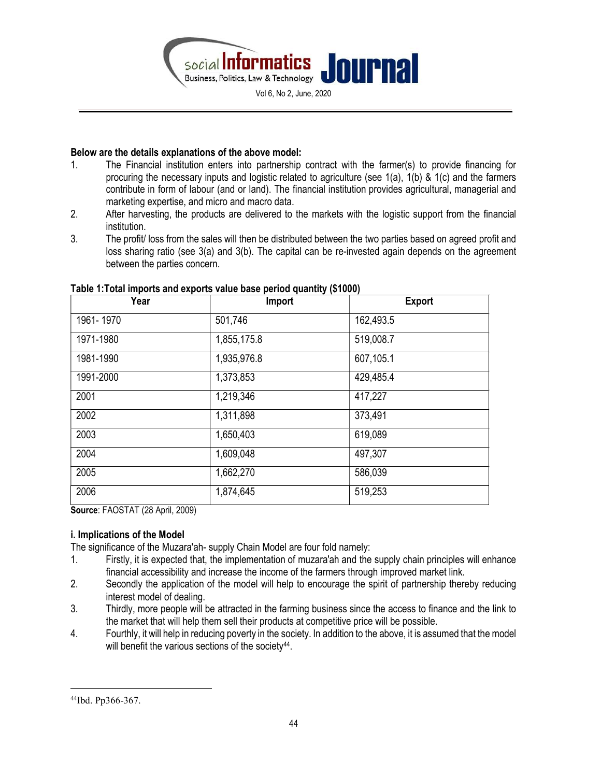

#### Below are the details explanations of the above model:

- 1. The Financial institution enters into partnership contract with the farmer(s) to provide financing for procuring the necessary inputs and logistic related to agriculture (see 1(a), 1(b) & 1(c) and the farmers contribute in form of labour (and or land). The financial institution provides agricultural, managerial and marketing expertise, and micro and macro data.
- 2. After harvesting, the products are delivered to the markets with the logistic support from the financial institution.
- 3. The profit/ loss from the sales will then be distributed between the two parties based on agreed profit and loss sharing ratio (see 3(a) and 3(b). The capital can be re-invested again depends on the agreement between the parties concern.

| Year      | Import      | <b>Export</b> |
|-----------|-------------|---------------|
| 1961-1970 | 501,746     | 162,493.5     |
| 1971-1980 | 1,855,175.8 | 519,008.7     |
| 1981-1990 | 1,935,976.8 | 607,105.1     |
| 1991-2000 | 1,373,853   | 429,485.4     |
| 2001      | 1,219,346   | 417,227       |
| 2002      | 1,311,898   | 373,491       |
| 2003      | 1,650,403   | 619,089       |
| 2004      | 1,609,048   | 497,307       |
| 2005      | 1,662,270   | 586,039       |
| 2006      | 1,874,645   | 519,253       |

#### Table 1:Total imports and exports value base period quantity (\$1000)

Source: FAOSTAT (28 April, 2009)

## i. Implications of the Model

The significance of the Muzara'ah- supply Chain Model are four fold namely:

- 1. Firstly, it is expected that, the implementation of muzara'ah and the supply chain principles will enhance financial accessibility and increase the income of the farmers through improved market link.
- 2. Secondly the application of the model will help to encourage the spirit of partnership thereby reducing interest model of dealing.
- 3. Thirdly, more people will be attracted in the farming business since the access to finance and the link to the market that will help them sell their products at competitive price will be possible.
- 4. Fourthly, it will help in reducing poverty in the society. In addition to the above, it is assumed that the model will benefit the various sections of the society<sup>44</sup>.

<sup>44</sup>Ibd. Pp366-367.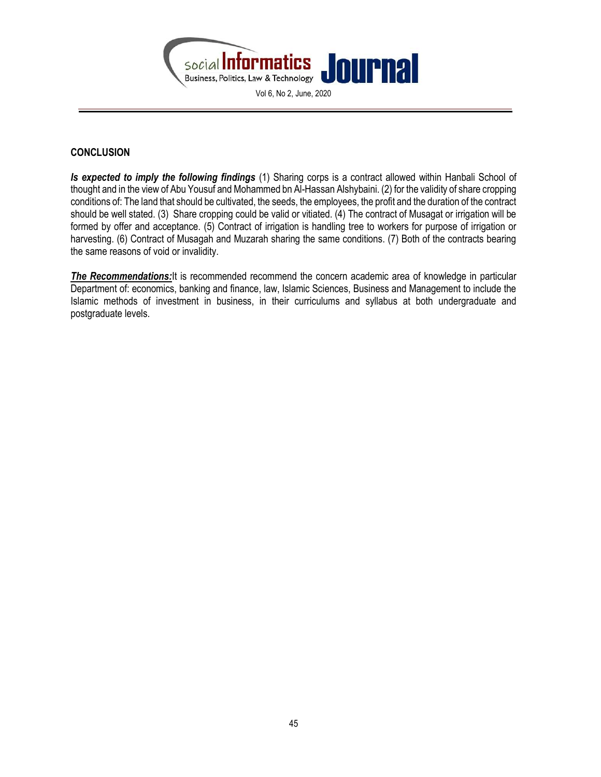

# **CONCLUSION**

Is expected to imply the following findings (1) Sharing corps is a contract allowed within Hanbali School of thought and in the view of Abu Yousuf and Mohammed bn Al-Hassan Alshybaini. (2) for the validity of share cropping conditions of: The land that should be cultivated, the seeds, the employees, the profit and the duration of the contract should be well stated. (3) Share cropping could be valid or vitiated. (4) The contract of Musagat or irrigation will be formed by offer and acceptance. (5) Contract of irrigation is handling tree to workers for purpose of irrigation or harvesting. (6) Contract of Musagah and Muzarah sharing the same conditions. (7) Both of the contracts bearing the same reasons of void or invalidity.

The Recommendations: It is recommended recommend the concern academic area of knowledge in particular Department of: economics, banking and finance, law, Islamic Sciences, Business and Management to include the Islamic methods of investment in business, in their curriculums and syllabus at both undergraduate and postgraduate levels.